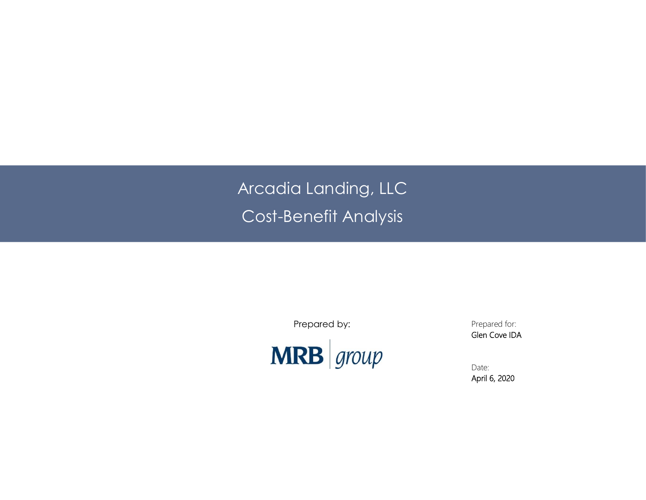# Arcadia Landing, LLC Cost-Benefit Analysis

Prepared by:



Prepared for: **Glen Cove IDA** 

Date: **April 6, 2020**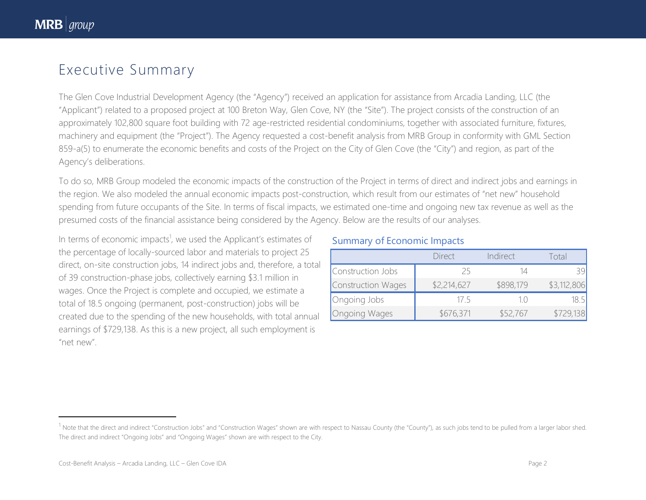$\overline{\phantom{a}}$ 

## Executive Summary

The Glen Cove Industrial Development Agency (the "Agency") received an application for assistance from Arcadia Landing, LLC (the "Applicant") related to a proposed project at 100 Breton Way, Glen Cove, NY (the "Site"). The project consists of the construction of an approximately 102,800 square foot building with 72 age-restricted residential condominiums, together with associated furniture, fixtures, machinery and equipment (the "Project"). The Agency requested a cost-benefit analysis from MRB Group in conformity with GML Section 859-a(5) to enumerate the economic benefits and costs of the Project on the City of Glen Cove (the "City") and region, as part of the Agency's deliberations.

To do so, MRB Group modeled the economic impacts of the construction of the Project in terms of direct and indirect jobs and earnings in the region. We also modeled the annual economic impacts post-construction, which result from our estimates of "net new" household spending from future occupants of the Site. In terms of fiscal impacts, we estimated one-time and ongoing new tax revenue as well as the presumed costs of the financial assistance being considered by the Agency. Below are the results of our analyses.

In terms of economic impacts<sup>1</sup>, we used the Applicant's estimates of the percentage of locally-sourced labor and materials to project 25 direct, on-site construction jobs, 14 indirect jobs and, therefore, a total of 39 construction-phase jobs, collectively earning \$3.1 million in wages. Once the Project is complete and occupied, we estimate a total of 18.5 ongoing (permanent, post-construction) jobs will be created due to the spending of the new households, with total annual earnings of \$729,138. As this is a new project, all such employment is "net new".

#### Summary of Economic Impacts

|                      | <b>Direct</b> | Indirect  | Total       |
|----------------------|---------------|-----------|-------------|
| Construction Jobs    | 25            |           |             |
| Construction Wages   | \$2,214,627   | \$898,179 | \$3,112,806 |
| Ongoing Jobs         | 175           | 10        | 18 5I       |
| <b>Ongoing Wages</b> | \$676,371     | \$52,767  | \$729,138   |

 $<sup>1</sup>$  Note that the direct and indirect "Construction Jobs" and "Construction Wages" shown are with respect to Nassau County (the "County"), as such jobs tend to be pulled from a larger labor shed.</sup> The direct and indirect "Ongoing Jobs" and "Ongoing Wages" shown are with respect to the City.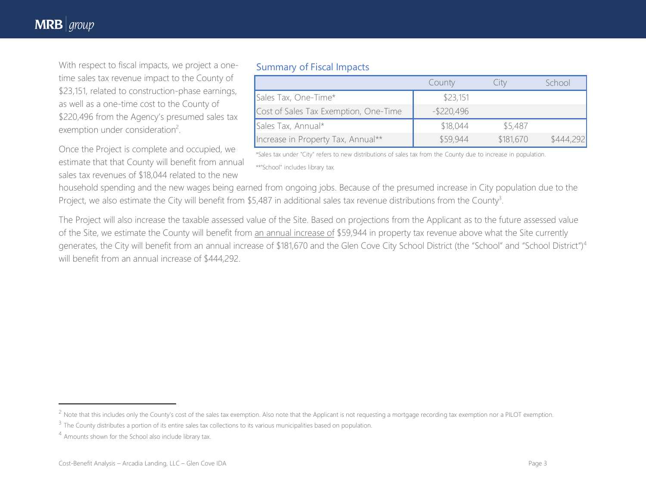$\overline{a}$ 

With respect to fiscal impacts, we project a onetime sales tax revenue impact to the County of \$23,151, related to construction-phase earnings, as well as a one-time cost to the County of \$220,496 from the Agency's presumed sales tax exemption under consideration<sup>2</sup>.

Once the Project is complete and occupied, we estimate that that County will benefit from annual sales tax revenues of \$18,044 related to the new

#### Summary of Fiscal Impacts

|                                       | County        | . ITV     | School    |
|---------------------------------------|---------------|-----------|-----------|
| Sales Tax, One-Time*                  | \$23,151      |           |           |
| Cost of Sales Tax Exemption, One-Time | $-$ \$220,496 |           |           |
| Sales Tax, Annual*                    | \$18,044      | \$5,487   |           |
| Increase in Property Tax, Annual**    | \$59,944      | \$181,670 | \$444,292 |

\*Sales tax under "City" refers to new distributions of sales tax from the County due to increase in population.

\*\*"School" includes library tax.

household spending and the new wages being earned from ongoing jobs. Because of the presumed increase in City population due to the Project, we also estimate the City will benefit from \$5,487 in additional sales tax revenue distributions from the County<sup>3</sup>.

The Project will also increase the taxable assessed value of the Site. Based on projections from the Applicant as to the future assessed value of the Site, we estimate the County will benefit from an annual increase of \$59,944 in property tax revenue above what the Site currently generates, the City will benefit from an annual increase of \$181,670 and the Glen Cove City School District (the "School" and "School District")<sup>4</sup> will benefit from an annual increase of \$444,292.

<sup>&</sup>lt;sup>2</sup> Note that this includes only the County's cost of the sales tax exemption. Also note that the Applicant is not requesting a mortgage recording tax exemption nor a PILOT exemption.

<sup>&</sup>lt;sup>3</sup> The County distributes a portion of its entire sales tax collections to its various municipalities based on population.

<sup>&</sup>lt;sup>4</sup> Amounts shown for the School also include library tax.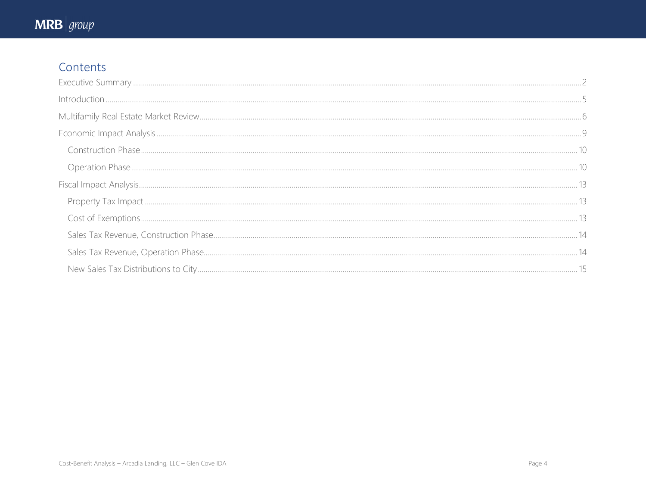## $MRB |$ group

## Contents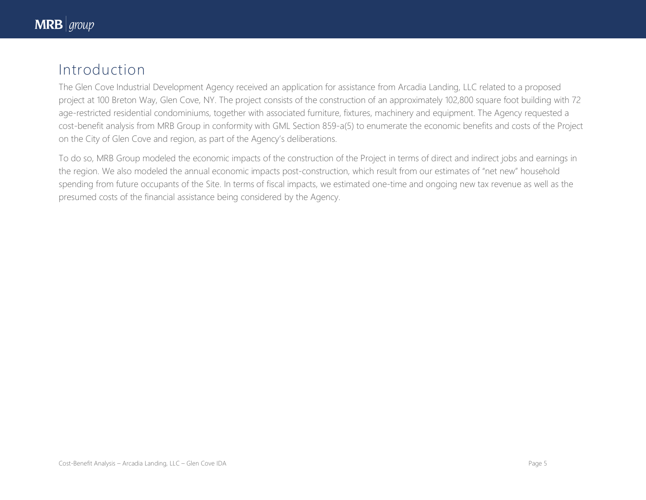## Introduction

The Glen Cove Industrial Development Agency received an application for assistance from Arcadia Landing, LLC related to a proposed project at 100 Breton Way, Glen Cove, NY. The project consists of the construction of an approximately 102,800 square foot building with 72 age-restricted residential condominiums, together with associated furniture, fixtures, machinery and equipment. The Agency requested a cost-benefit analysis from MRB Group in conformity with GML Section 859-a(5) to enumerate the economic benefits and costs of the Project on the City of Glen Cove and region, as part of the Agency's deliberations.

To do so, MRB Group modeled the economic impacts of the construction of the Project in terms of direct and indirect jobs and earnings in the region. We also modeled the annual economic impacts post-construction, which result from our estimates of "net new" household spending from future occupants of the Site. In terms of fiscal impacts, we estimated one-time and ongoing new tax revenue as well as the presumed costs of the financial assistance being considered by the Agency.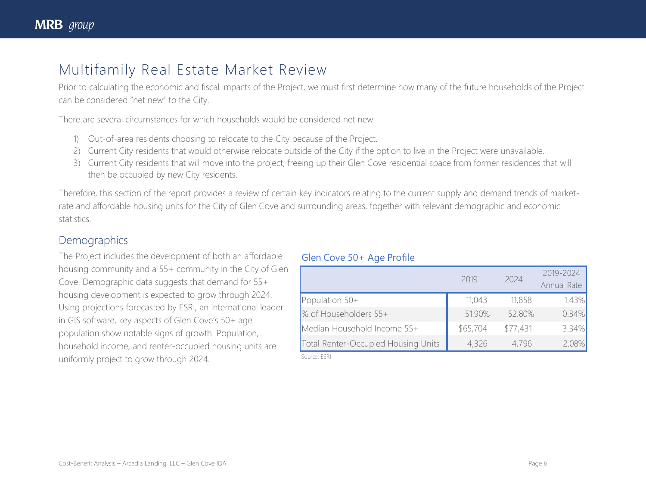## Multifamily Real Estate Market Review

Prior to calculating the economic and fiscal impacts of the Project, we must first determine how many of the future households of the Project can be considered "net new" to the City.

There are several circumstances for which households would be considered net new:

- 1) Out-of-area residents choosing to relocate to the City because of the Project.
- 2) Current City residents that would otherwise relocate outside of the City if the option to live in the Project were unavailable.
- 3) Current City residents that will move into the project, freeing up their Glen Cove residential space from former residences that will then be occupied by new City residents.

Therefore, this section of the report provides a review of certain key indicators relating to the current supply and demand trends of marketrate and affordable housing units for the City of Glen Cove and surrounding areas, together with relevant demographic and economic statistics.

## **Demographics**

The Project includes the development of both an affordable housing community and a 55+ community in the City of Glen Cove. Demographic data suggests that demand for 55+ housing development is expected to grow through 2024. Using projections forecasted by ESRI, an international leader in GIS software, key aspects of Glen Cove's 50+ age population show notable signs of growth. Population, household income, and renter-occupied housing units are uniformly project to grow through 2024.

### Glen Cove 50+ Age Profile

|                                     | 2019     | 2024     | 2019-2024<br>Annual Rate |
|-------------------------------------|----------|----------|--------------------------|
| Population $50+$                    | 11,043   | 11,858   | 1.43%                    |
| % of Householders 55+               | 51.90%   | 52.80%   | 0.34%                    |
| Median Household Income 55+         | \$65,704 | \$77,431 | 3.34%                    |
| Total Renter-Occupied Housing Units | 4,326    | 4.796    | 2.08%                    |

Source: ESRI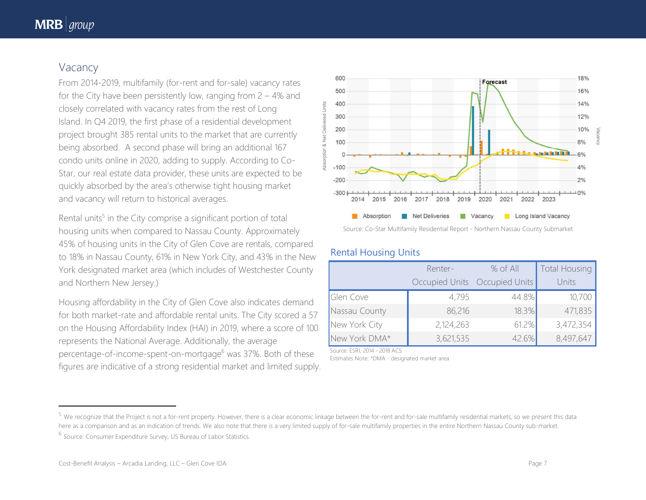$\overline{a}$ 

## Vacancy

From 2014-2019, multifamily (for-rent and for-sale) vacancy rates for the City have been persistently low, ranging from 2 – 4% and closely correlated with vacancy rates from the rest of Long Island. In Q4 2019, the first phase of a residential development project brought 385 rental units to the market that are currently being absorbed. A second phase will bring an additional 167 condo units online in 2020, adding to supply. According to Co-Star, our real estate data provider, these units are expected to be quickly absorbed by the area's otherwise tight housing market and vacancy will return to historical averages.

Rental units<sup>5</sup> in the City comprise a significant portion of total housing units when compared to Nassau County. Approximately 45% of housing units in the City of Glen Cove are rentals, compared to 18% in Nassau County, 61% in New York City, and 43% in the New York designated market area (which includes of Westchester County and Northern New Jersey.)

Housing affordability in the City of Glen Cove also indicates demand for both market-rate and affordable rental units. The City scored a 57 on the Housing Affordability Index (HAI) in 2019, where a score of 100 represents the National Average. Additionally, the average percentage-of-income-spent-on-mortgage<sup>6</sup> was 37%. Both of these figures are indicative of a strong residential market and limited supply.



Source: Co-Star Multifamily Residential Report - Northern Nassau County Submarket

### Rental Housing Units

|               | Renter-   | % of All                      | <b>Total Housing</b> |
|---------------|-----------|-------------------------------|----------------------|
|               |           | Occupied Units Occupied Units | Units                |
| Glen Cove     | 4,795     | 44.8%                         | 10,700               |
| Nassau County | 86,216    | 18.3%                         | 471,835              |
| New York City | 2,124,263 | 61.2%                         | 3,472,354            |
| New York DMA* | 3,621,535 | 42.6%                         | 8,497,647            |

Source: ESRI, 2014 - 2018 ACS

Estimates Note: \*DMA - designated market area

<sup>&</sup>lt;sup>5</sup> We recognize that the Project is not a for-rent property. However, there is a clear economic linkage between the for-rent and for-sale multifamily residential markets, so we present this data

here as a comparison and as an indication of trends. We also note that there is a very limited supply of for-sale multifamily properties in the entire Northern Nassau County sub-market. <sup>6</sup> Source: Consumer Expenditure Survey, US Bureau of Labor Statistics.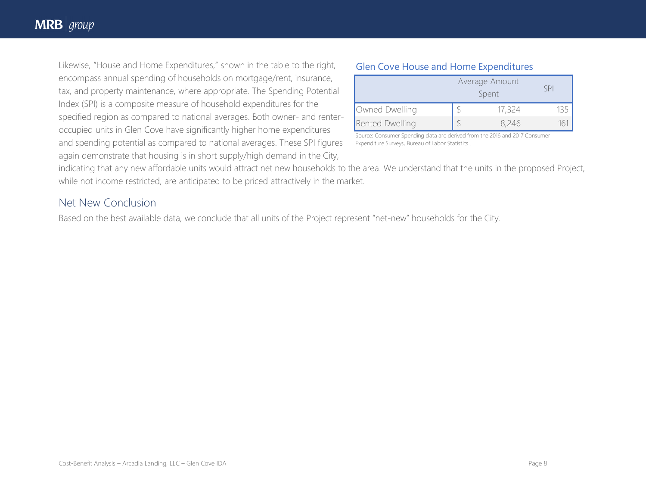Likewise, "House and Home Expenditures," shown in the table to the right, encompass annual spending of households on mortgage/rent, insurance, tax, and property maintenance, where appropriate. The Spending Potential Index (SPI) is a composite measure of household expenditures for the specified region as compared to national averages. Both owner- and renteroccupied units in Glen Cove have significantly higher home expenditures and spending potential as compared to national averages. These SPI figures again demonstrate that housing is in short supply/high demand in the City,

#### Glen Cove House and Home Expenditures

|                        | Average Amount<br>Spent |        |  |
|------------------------|-------------------------|--------|--|
| Owned Dwelling         |                         | 17,324 |  |
| <b>Rented Dwelling</b> |                         | 8.246  |  |

Source: Consumer Spending data are derived from the 2016 and 2017 Consumer Expenditure Surveys, Bureau of Labor Statistics .

indicating that any new affordable units would attract net new households to the area. We understand that the units in the proposed Project, while not income restricted, are anticipated to be priced attractively in the market.

### Net New Conclusion

Based on the best available data, we conclude that all units of the Project represent "net-new" households for the City.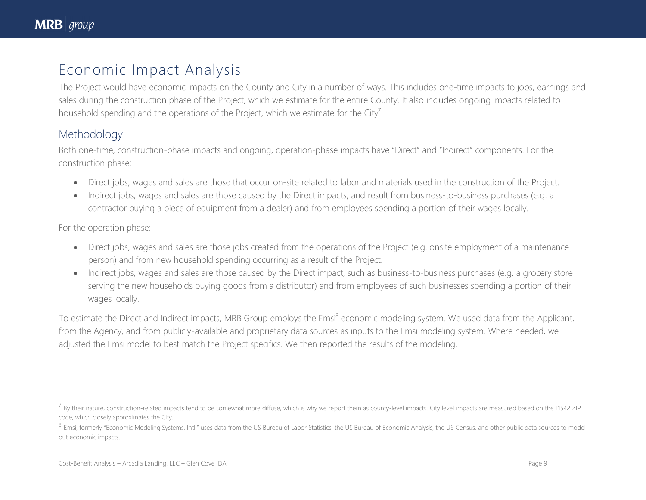$\overline{\phantom{a}}$ 

## Economic Impact Analysis

The Project would have economic impacts on the County and City in a number of ways. This includes one-time impacts to jobs, earnings and sales during the construction phase of the Project, which we estimate for the entire County. It also includes ongoing impacts related to household spending and the operations of the Project, which we estimate for the City<sup>7</sup>.

## Methodology

Both one-time, construction-phase impacts and ongoing, operation-phase impacts have "Direct" and "Indirect" components. For the construction phase:

- Direct jobs, wages and sales are those that occur on-site related to labor and materials used in the construction of the Project.
- Indirect jobs, wages and sales are those caused by the Direct impacts, and result from business-to-business purchases (e.g. a contractor buying a piece of equipment from a dealer) and from employees spending a portion of their wages locally.

For the operation phase:

- Direct jobs, wages and sales are those jobs created from the operations of the Project (e.g. onsite employment of a maintenance person) and from new household spending occurring as a result of the Project.
- Indirect jobs, wages and sales are those caused by the Direct impact, such as business-to-business purchases (e.g. a grocery store serving the new households buying goods from a distributor) and from employees of such businesses spending a portion of their wages locally.

To estimate the Direct and Indirect impacts, MRB Group employs the Emsi<sup>8</sup> economic modeling system. We used data from the Applicant, from the Agency, and from publicly-available and proprietary data sources as inputs to the Emsi modeling system. Where needed, we adjusted the Emsi model to best match the Project specifics. We then reported the results of the modeling.

 $^7$  By their nature, construction-related impacts tend to be somewhat more diffuse, which is why we report them as county-level impacts. City level impacts are measured based on the 11542 ZIP code, which closely approximates the City.

<sup>&</sup>lt;sup>8</sup> Emsi, formerly "Economic Modeling Systems, Intl." uses data from the US Bureau of Labor Statistics, the US Bureau of Economic Analysis, the US Census, and other public data sources to model out economic impacts.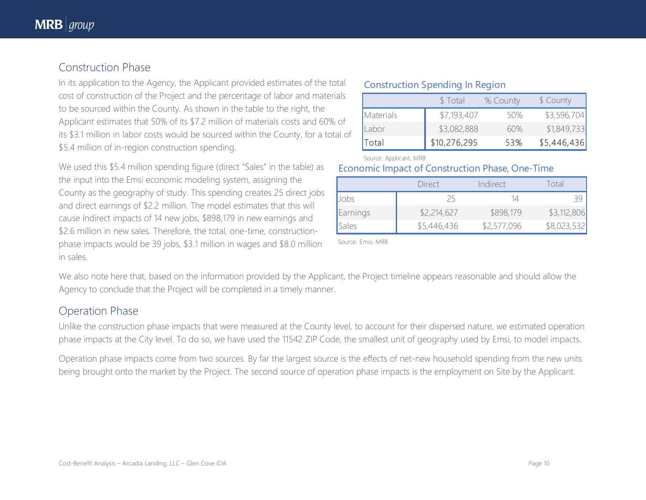## Construction Phase

In its application to the Agency, the Applicant provided estimates of the total cost of construction of the Project and the percentage of labor and materials to be sourced within the County. As shown in the table to the right, the Applicant estimates that 50% of its \$7.2 million of materials costs and 60% of its \$3.1 million in labor costs would be sourced within the County, for a total of \$5.4 million of in-region construction spending.

We used this \$5.4 million spending figure (direct "Sales" in the table) as the input into the Emsi economic modeling system, assigning the County as the geography of study. This spending creates 25 direct jobs and direct earnings of \$2.2 million. The model estimates that this will cause Indirect impacts of 14 new jobs, \$898,179 in new earnings and \$2.6 million in new sales. Therefore, the total, one-time, constructionphase impacts would be 39 jobs, \$3.1 million in wages and \$8.0 million in sales.

## Construction Spending In Region

|           | \$ Total     | % County | \$ County   |
|-----------|--------------|----------|-------------|
| Materials | \$7,193,407  | 50%      | \$3,596,704 |
| Labor     | \$3,082,888  | 60%      | \$1,849,733 |
| ⊺otal     | \$10,276,295 | 53%      | \$5,446,436 |

Source: Applicant, MRB

### Economic Impact of Construction Phase, One-Time

|          | Direct      | Indirect    | Total       |
|----------|-------------|-------------|-------------|
| Jobs     | 25          |             |             |
| Earnings | \$2,214,627 | \$898,179   | \$3,112,806 |
| Sales    | \$5,446,436 | \$2,577,096 |             |

Source: Emsi, MRB

We also note here that, based on the information provided by the Applicant, the Project timeline appears reasonable and should allow the Agency to conclude that the Project will be completed in a timely manner.

## Operation Phase

Unlike the construction phase impacts that were measured at the County level, to account for their dispersed nature, we estimated operation phase impacts at the City level. To do so, we have used the 11542 ZIP Code, the smallest unit of geography used by Emsi, to model impacts.

Operation phase impacts come from two sources. By far the largest source is the effects of net-new household spending from the new units being brought onto the market by the Project. The second source of operation phase impacts is the employment on Site by the Applicant.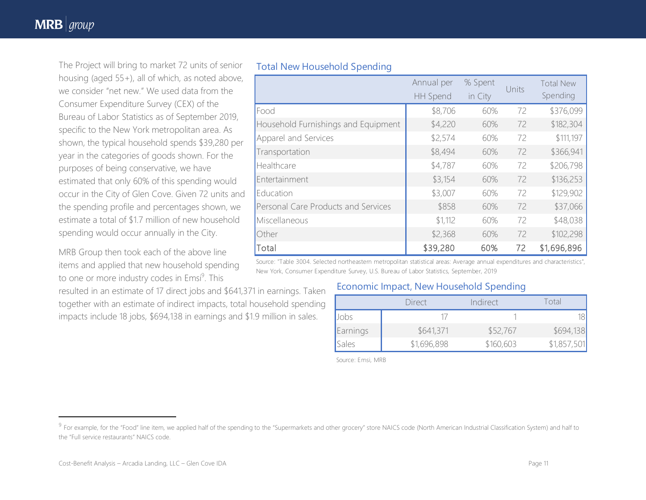$\overline{\phantom{a}}$ 

The Project will bring to market 72 units of senior housing (aged 55+), all of which, as noted above, we consider "net new." We used data from the Consumer Expenditure Survey (CEX) of the Bureau of Labor Statistics as of September 2019, specific to the New York metropolitan area. As shown, the typical household spends \$39,280 per year in the categories of goods shown. For the purposes of being conservative, we have estimated that only 60% of this spending would occur in the City of Glen Cove. Given 72 units and the spending profile and percentages shown, we estimate a total of \$1.7 million of new household spending would occur annually in the City.

MRB Group then took each of the above line items and applied that new household spending to one or more industry codes in Emsi<sup>9</sup>. This

resulted in an estimate of 17 direct jobs and \$641,371 in earnings. Taken together with an estimate of indirect impacts, total household spending impacts include 18 jobs, \$694,138 in earnings and \$1.9 million in sales.

#### Total New Household Spending

|                                     | Annual per<br><b>HH</b> Spend | % Spent<br>in City | Units | <b>Total New</b><br>Spending |
|-------------------------------------|-------------------------------|--------------------|-------|------------------------------|
| Food                                | \$8,706                       | 60%                | 72    | \$376,099                    |
| Household Furnishings and Equipment | \$4,220                       | 60%                | 72    | \$182,304                    |
| Apparel and Services                | \$2,574                       | 60%                | 72    | \$111,197                    |
| Transportation                      | \$8,494                       | 60%                | 72    | \$366,941                    |
| Healthcare                          | \$4,787                       | 60%                | 72    | \$206,798                    |
| Entertainment                       | \$3,154                       | 60%                | 72    | \$136,253                    |
| Education                           | \$3,007                       | 60%                | 72    | \$129,902                    |
| Personal Care Products and Services | \$858                         | 60%                | 72    | \$37,066                     |
| Miscellaneous                       | \$1,112                       | 60%                | 72    | \$48,038                     |
| Other                               | \$2,368                       | 60%                | 72    | \$102,298                    |
| Total                               | \$39,280                      | 60%                | 72    | \$1,696,896                  |

Source: "Table 3004. Selected northeastern metropolitan statistical areas: Average annual expenditures and characteristics", New York, Consumer Expenditure Survey, U.S. Bureau of Labor Statistics, September, 2019

#### Economic Impact, New Household Spending

|          | Direct      | Indirect  | Total       |
|----------|-------------|-----------|-------------|
| Jobs     |             |           |             |
| Earnings | \$641,371   | \$52,767  | \$694,138   |
| Sales    | \$1,696,898 | \$160,603 | \$1,857,501 |

Source: Emsi, MRB

<sup>&</sup>lt;sup>9</sup> For example, for the "Food" line item, we applied half of the spending to the "Supermarkets and other grocery" store NAICS code (North American Industrial Classification System) and half to the "Full service restaurants" NAICS code.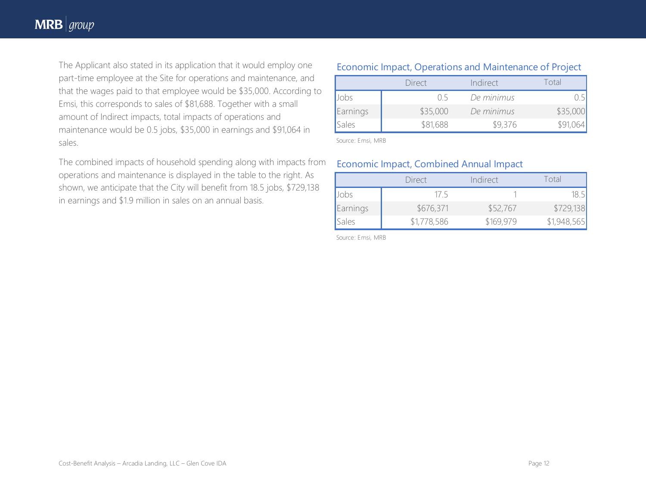## **MRB**  $\vert$  group

The Applicant also stated in its application that it would employ one part-time employee at the Site for operations and maintenance, and that the wages paid to that employee would be \$35,000. According to Emsi, this corresponds to sales of \$81,688. Together with a small amount of Indirect impacts, total impacts of operations and maintenance would be 0.5 jobs, \$35,000 in earnings and \$91,064 in sales.

The combined impacts of household spending along with impacts from operations and maintenance is displayed in the table to the right. As shown, we anticipate that the City will benefit from 18.5 jobs, \$729,138 in earnings and \$1.9 million in sales on an annual basis.

### Economic Impact, Operations and Maintenance of Project

|          | <b>Direct</b> | Indirect   | ntal     |
|----------|---------------|------------|----------|
|          | ()            | De minimus |          |
| Earnings | \$35,000      | De minimus | \$35,000 |
| sales    | \$81,688      | \$9,376    |          |

Source: Emsi, MRB

### Economic Impact, Combined Annual Impact

|          | Direct      | Indirect  | Total       |
|----------|-------------|-----------|-------------|
| Jobs     | 1/5         |           |             |
| Earnings | \$676,371   | \$52,767  | \$729,138   |
| Sales    | \$1,778,586 | \$169,979 | \$1,948,565 |

Source: Emsi, MRB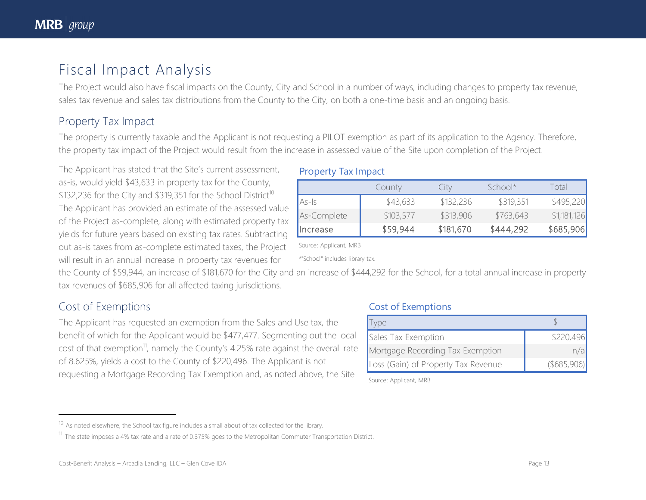## Fiscal Impact Analysis

The Project would also have fiscal impacts on the County, City and School in a number of ways, including changes to property tax revenue, sales tax revenue and sales tax distributions from the County to the City, on both a one-time basis and an ongoing basis.

## Property Tax Impact

The property is currently taxable and the Applicant is not requesting a PILOT exemption as part of its application to the Agency. Therefore, the property tax impact of the Project would result from the increase in assessed value of the Site upon completion of the Project.

The Applicant has stated that the Site's current assessment, as-is, would yield \$43,633 in property tax for the County,  $$132,236$  for the City and  $$319,351$  for the School District<sup>10</sup>. The Applicant has provided an estimate of the assessed value of the Project as-complete, along with estimated property tax yields for future years based on existing tax rates. Subtracting out as-is taxes from as-complete estimated taxes, the Project will result in an annual increase in property tax revenues for

### Property Tax Impact

|                 | County    | City      | $School^*$ | Total       |
|-----------------|-----------|-----------|------------|-------------|
| $AS-1s$         | \$43,633  | \$132,236 | \$319,351  | \$495,220   |
| As-Complete     | \$103,577 | \$313,906 | \$763,643  | \$1,181,126 |
| <b>Increase</b> | \$59,944  | \$181,670 | \$444,292  | \$685,906   |

Source: Applicant, MRB

\*"School" includes library tax.

the County of \$59,944, an increase of \$181,670 for the City and an increase of \$444,292 for the School, for a total annual increase in property tax revenues of \$685,906 for all affected taxing jurisdictions.

## Cost of Exemptions

 $\overline{\phantom{a}}$ 

The Applicant has requested an exemption from the Sales and Use tax, the benefit of which for the Applicant would be \$477,477. Segmenting out the local cost of that exemption<sup>11</sup>, namely the County's 4.25% rate against the overall rate of 8.625%, yields a cost to the County of \$220,496. The Applicant is not requesting a Mortgage Recording Tax Exemption and, as noted above, the Site

## Cost of Exemptions

| vpe                                 |            |
|-------------------------------------|------------|
| Sales Tax Exemption                 | \$220,496  |
| Mortgage Recording Tax Exemption    |            |
| Loss (Gain) of Property Tax Revenue | (5685,906) |

Source: Applicant, MRB

 $10$  As noted elsewhere, the School tax figure includes a small about of tax collected for the library.

 $11$  The state imposes a 4% tax rate and a rate of 0.375% goes to the Metropolitan Commuter Transportation District.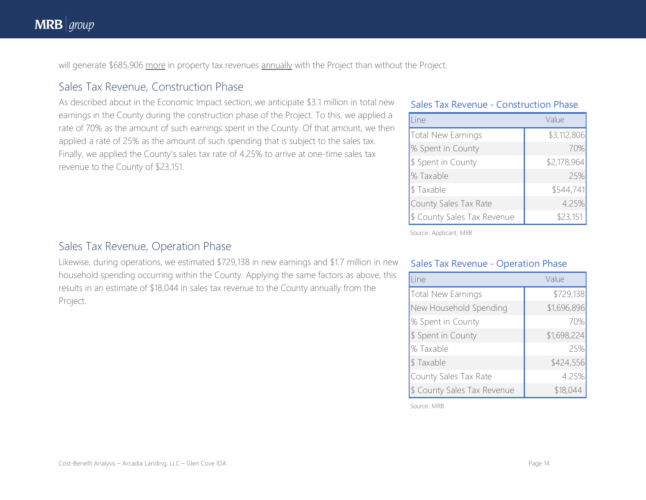will generate \$685,906 more in property tax revenues annually with the Project than without the Project.

### Sales Tax Revenue, Construction Phase

As described about in the Economic Impact section, we anticipate \$3.1 million in total new earnings in the County during the construction phase of the Project. To this, we applied a rate of 70% as the amount of such earnings spent in the County. Of that amount, we then applied a rate of 25% as the amount of such spending that is subject to the sales tax. Finally, we applied the County's sales tax rate of 4.25% to arrive at one-time sales tax revenue to the County of \$23,151.

#### Sales Tax Revenue - Construction Phase

| ine                         | Value       |  |
|-----------------------------|-------------|--|
| Total New Earnings          | \$3,112,806 |  |
| % Spent in County           | 70%         |  |
| \$ Spent in County          | \$2,178,964 |  |
| % Taxable                   | 25%         |  |
| \$Taxable                   | \$544,741   |  |
| County Sales Tax Rate       | 4.25%       |  |
| \$ County Sales Tax Revenue | \$23,151    |  |

Source: Applicant, MRB

### Sales Tax Revenue, Operation Phase

Likewise, during operations, we estimated \$729,138 in new earnings and \$1.7 million in new household spending occurring within the County. Applying the same factors as above, this results in an estimate of \$18,044 in sales tax revenue to the County annually from the Project.

#### Sales Tax Revenue - Operation Phase

| Line                        | Value       |  |
|-----------------------------|-------------|--|
| Total New Earnings          | \$729,138   |  |
| New Household Spending      | \$1,696,896 |  |
| % Spent in County           | 70%         |  |
| \$ Spent in County          | \$1,698,224 |  |
| % Taxable                   | 25%         |  |
| \$ Taxable                  | \$424,556   |  |
| County Sales Tax Rate       | 4.25%       |  |
| \$ County Sales Tax Revenue | \$18,044    |  |

Source: MRB